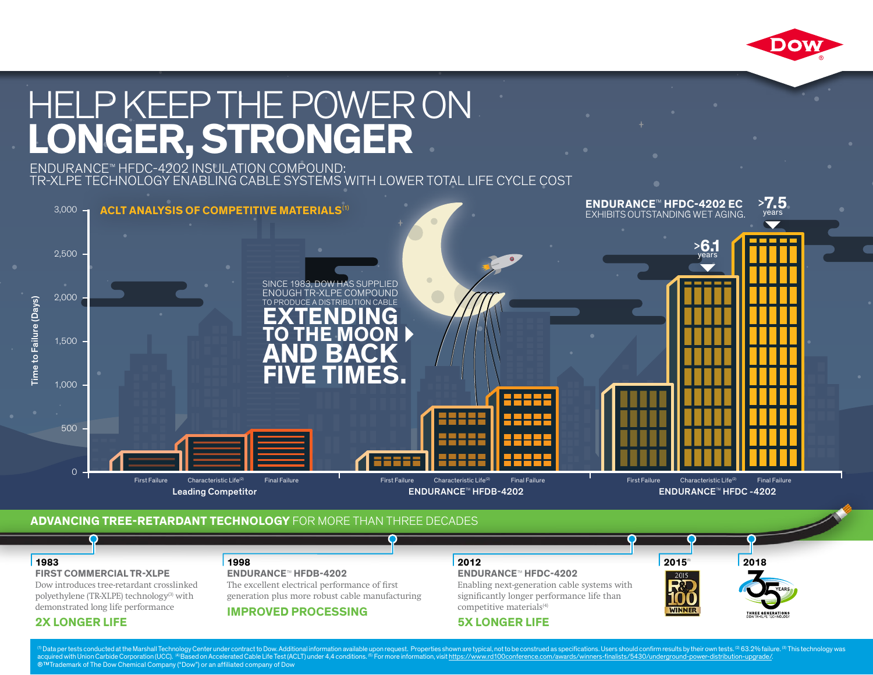

# HELP KEEP THE POWER ON **LONGER, STRONGER**

#### ENDURANCE™ HFDC-4202 INSULATION COMPOUND: TR-XLPE TECHNOLOGY ENABLING CABLE SYSTEMS WITH LOWER TOTAL LIFE CYCLE COST



### **1983 1998 2012 2018 ADVANCING TREE-RETARDANT TECHNOLOGY** FOR MORE THAN THREE DECADES

#### **ENDURANCE**

#### **FIRST COMMERCIAL TR-XLPE**

Dow introduces tree-retardant crosslinked **2X LONGER LIFE** demonstrated long life performance polyethylene (TR-XLPE) technology<sup>(3)</sup> with

#### **2X LONGER LIFE**

#### **ENDURANCE™ HFDB-4202 1998 ENDURANCE™ HFDB-4202**

more robust cable manufacturing capabilities The excellent electrical performance of first generation plus more robust cable manufacturing

**IMPROVED PROCESSING**

#### **2012**

**ENDURANCE™ HFDC-4202** 

end consistent and consistence consistency and consistency enabling next-generation cable systems with  $\frac{1}{\pi}$  **S**  $\frac{1}{\pi}$  **LONGER** is the significantly longer performance life than competitive materials<sup>(4)</sup>

#### **5X LONGER LIFE**



**[2015](https://www.rd100conference.com/awards/winners-finalists/5430/underground-power-distribution-upgrade/)**(5)

**NINNF** 

<sup>0</sup> Data per tests conducted at the Marshall Technology Center under contract to Dow. Additional information available upon request. Properties shown are typical, not to be construed as specifications. Users should confirm acquired with Union Carbide Corporation (UCC). <sup>(4)</sup>Based on Accelerated Cable Life Test (ACLT) under 4,4 conditions. ® For more information, visit <u>https://www.rd100conference.com/awards/winners-finalists/5430/undergroun</u>